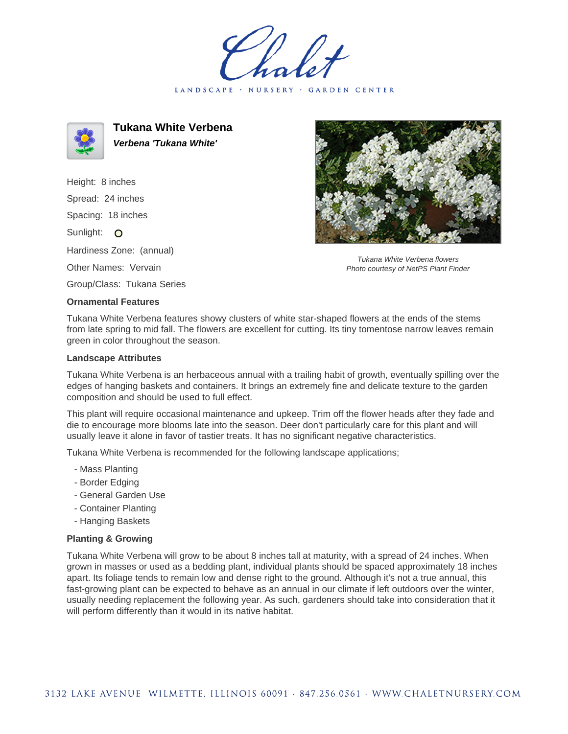LANDSCAPE · NURSERY · GARDEN CENTER



**Tukana White Verbena Verbena 'Tukana White'**

Height: 8 inches Spread: 24 inches Spacing: 18 inches Sunlight: O Hardiness Zone: (annual) Other Names: Vervain Group/Class: Tukana Series



Tukana White Verbena flowers Photo courtesy of NetPS Plant Finder

## **Ornamental Features**

Tukana White Verbena features showy clusters of white star-shaped flowers at the ends of the stems from late spring to mid fall. The flowers are excellent for cutting. Its tiny tomentose narrow leaves remain green in color throughout the season.

## **Landscape Attributes**

Tukana White Verbena is an herbaceous annual with a trailing habit of growth, eventually spilling over the edges of hanging baskets and containers. It brings an extremely fine and delicate texture to the garden composition and should be used to full effect.

This plant will require occasional maintenance and upkeep. Trim off the flower heads after they fade and die to encourage more blooms late into the season. Deer don't particularly care for this plant and will usually leave it alone in favor of tastier treats. It has no significant negative characteristics.

Tukana White Verbena is recommended for the following landscape applications;

- Mass Planting
- Border Edging
- General Garden Use
- Container Planting
- Hanging Baskets

## **Planting & Growing**

Tukana White Verbena will grow to be about 8 inches tall at maturity, with a spread of 24 inches. When grown in masses or used as a bedding plant, individual plants should be spaced approximately 18 inches apart. Its foliage tends to remain low and dense right to the ground. Although it's not a true annual, this fast-growing plant can be expected to behave as an annual in our climate if left outdoors over the winter, usually needing replacement the following year. As such, gardeners should take into consideration that it will perform differently than it would in its native habitat.